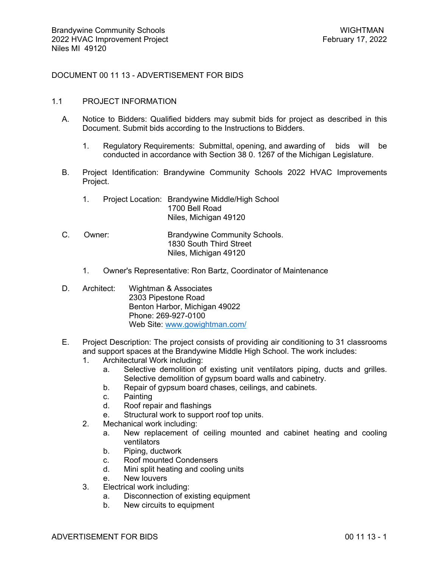DOCUMENT 00 11 13 - ADVERTISEMENT FOR BIDS

## 1.1 PROJECT INFORMATION

- A. Notice to Bidders: Qualified bidders may submit bids for project as described in this Document. Submit bids according to the Instructions to Bidders.
	- 1. Regulatory Requirements: Submittal, opening, and awarding of bids will be conducted in accordance with Section 38 0. 1267 of the Michigan Legislature.
- B. Project Identification: Brandywine Community Schools 2022 HVAC Improvements Project.
	- 1. Project Location: Brandywine Middle/High School 1700 Bell Road Niles, Michigan 49120
- C. Owner: Brandywine Community Schools. 1830 South Third Street Niles, Michigan 49120
	- 1. Owner's Representative: Ron Bartz, Coordinator of Maintenance
- D. Architect: Wightman & Associates 2303 Pipestone Road Benton Harbor, Michigan 49022 Phone: 269-927-0100 Web Site: [www.gowightman.com/](http://www.gowightman.com/)
- E. Project Description: The project consists of providing air conditioning to 31 classrooms and support spaces at the Brandywine Middle High School. The work includes:
	- 1. Architectural Work including:
		- a. Selective demolition of existing unit ventilators piping, ducts and grilles. Selective demolition of gypsum board walls and cabinetry.
		- b. Repair of gypsum board chases, ceilings, and cabinets.
		- c. Painting
		- d. Roof repair and flashings
		- e. Structural work to support roof top units.
	- 2. Mechanical work including:
		- a. New replacement of ceiling mounted and cabinet heating and cooling ventilators
		- b. Piping, ductwork
		- c. Roof mounted Condensers
		- d. Mini split heating and cooling units
		- e. New louvers
	- 3. Electrical work including:
		- a. Disconnection of existing equipment
		- b. New circuits to equipment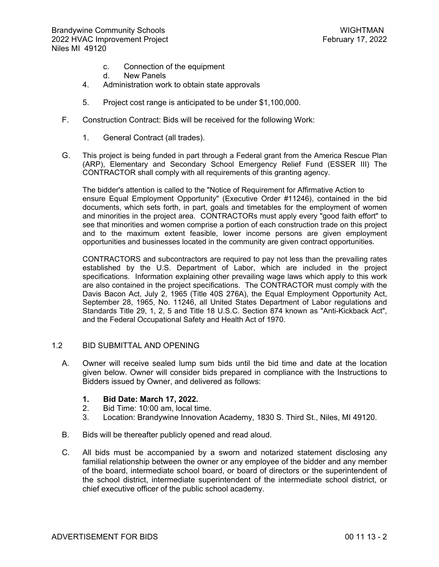- c. Connection of the equipment
- d. New Panels
- 4. Administration work to obtain state approvals
- 5. Project cost range is anticipated to be under \$1,100,000.
- F. Construction Contract: Bids will be received for the following Work:
	- 1. General Contract (all trades).
- G. This project is being funded in part through a Federal grant from the America Rescue Plan (ARP), Elementary and Secondary School Emergency Relief Fund (ESSER III) The CONTRACTOR shall comply with all requirements of this granting agency.

The bidder's attention is called to the "Notice of Requirement for Affirmative Action to ensure Equal Employment Opportunity" (Executive Order #11246), contained in the bid documents, which sets forth, in part, goals and timetables for the employment of women and minorities in the project area. CONTRACTORs must apply every "good faith effort" to see that minorities and women comprise a portion of each construction trade on this project and to the maximum extent feasible, lower income persons are given employment opportunities and businesses located in the community are given contract opportunities.

CONTRACTORS and subcontractors are required to pay not less than the prevailing rates established by the U.S. Department of Labor, which are included in the project specifications. Information explaining other prevailing wage laws which apply to this work are also contained in the project specifications. The CONTRACTOR must comply with the Davis Bacon Act, July 2, 1965 (Title 40S 276A), the Equal Employment Opportunity Act, September 28, 1965, No. 11246, all United States Department of Labor regulations and Standards Title 29, 1, 2, 5 and Title 18 U.S.C. Section 874 known as "Anti-Kickback Act", and the Federal Occupational Safety and Health Act of 1970.

## 1.2 BID SUBMITTAL AND OPENING

- A. Owner will receive sealed lump sum bids until the bid time and date at the location given below. Owner will consider bids prepared in compliance with the Instructions to Bidders issued by Owner, and delivered as follows:
	- **1. Bid Date: March 17, 2022.**
	- 2. Bid Time: 10:00 am, local time.
	- 3. Location: Brandywine Innovation Academy, 1830 S. Third St., Niles, MI 49120.
- B. Bids will be thereafter publicly opened and read aloud.
- C. All bids must be accompanied by a sworn and notarized statement disclosing any familial relationship between the owner or any employee of the bidder and any member of the board, intermediate school board, or board of directors or the superintendent of the school district, intermediate superintendent of the intermediate school district, or chief executive officer of the public school academy.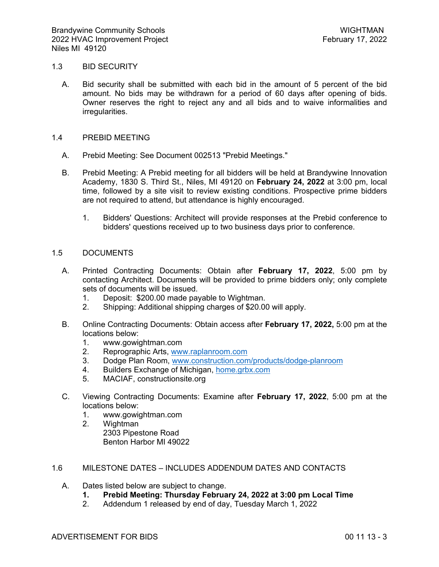## 1.3 BID SECURITY

A. Bid security shall be submitted with each bid in the amount of 5 percent of the bid amount. No bids may be withdrawn for a period of 60 days after opening of bids. Owner reserves the right to reject any and all bids and to waive informalities and irregularities.

## 1.4 PREBID MEETING

- A. Prebid Meeting: See Document 002513 "Prebid Meetings."
- B. Prebid Meeting: A Prebid meeting for all bidders will be held at Brandywine Innovation Academy, 1830 S. Third St., Niles, MI 49120 on **February 24, 2022** at 3:00 pm, local time, followed by a site visit to review existing conditions. Prospective prime bidders are not required to attend, but attendance is highly encouraged.
	- 1. Bidders' Questions: Architect will provide responses at the Prebid conference to bidders' questions received up to two business days prior to conference.

# 1.5 DOCUMENTS

- A. Printed Contracting Documents: Obtain after **February 17, 2022**, 5:00 pm by contacting Architect. Documents will be provided to prime bidders only; only complete sets of documents will be issued.
	- 1. Deposit: \$200.00 made payable to Wightman.
	- 2. Shipping: Additional shipping charges of \$20.00 will apply.
- B. Online Contracting Documents: Obtain access after **February 17, 2022,** 5:00 pm at the locations below:
	- 1. www.gowightman.com<br>2. Reprographic Arts. www.
	- Reprographic Arts, [www.raplanroom.com](http://www.raplanroom.com/)
	- 3. Dodge Plan Room, [www.construction.com/products/dodge-planroom](http://www.construction.com/products/dodge-planroom)
	- 4. Builders Exchange of Michigan, [home.grbx.com](http://home.grbx.com/)
	- 5. MACIAF, constructionsite.org
- C. Viewing Contracting Documents: Examine after **February 17, 2022**, 5:00 pm at the locations below:
	- 1. www.gowightman.com
	- 2. Wightman 2303 Pipestone Road Benton Harbor MI 49022

## 1.6 MILESTONE DATES – INCLUDES ADDENDUM DATES AND CONTACTS

- A. Dates listed below are subject to change.
	- **1. Prebid Meeting: Thursday February 24, 2022 at 3:00 pm Local Time**
	- 2. Addendum 1 released by end of day, Tuesday March 1, 2022